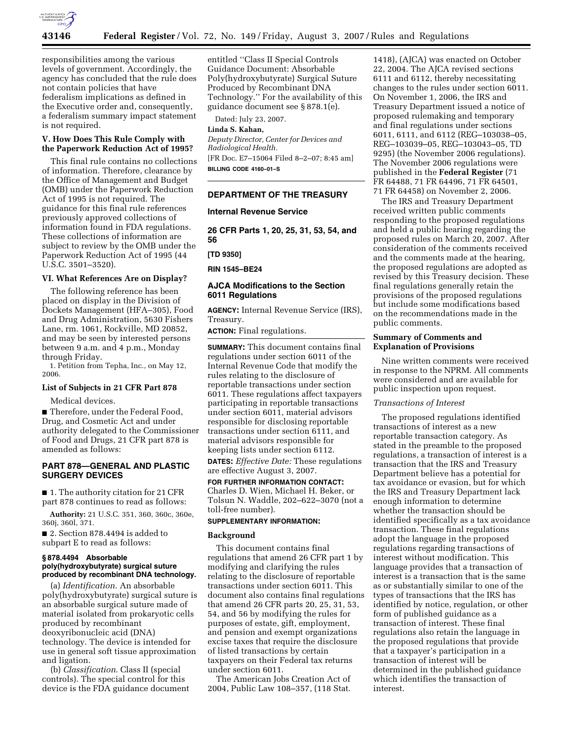

responsibilities among the various levels of government. Accordingly, the agency has concluded that the rule does not contain policies that have federalism implications as defined in the Executive order and, consequently, a federalism summary impact statement is not required.

## **V. How Does This Rule Comply with the Paperwork Reduction Act of 1995?**

This final rule contains no collections of information. Therefore, clearance by the Office of Management and Budget (OMB) under the Paperwork Reduction Act of 1995 is not required. The guidance for this final rule references previously approved collections of information found in FDA regulations. These collections of information are subject to review by the OMB under the Paperwork Reduction Act of 1995 (44 U.S.C. 3501–3520).

## **VI. What References Are on Display?**

The following reference has been placed on display in the Division of Dockets Management (HFA–305), Food and Drug Administration, 5630 Fishers Lane, rm. 1061, Rockville, MD 20852, and may be seen by interested persons between 9 a.m. and 4 p.m., Monday through Friday.

1. Petition from Tepha, Inc., on May 12, 2006.

## **List of Subjects in 21 CFR Part 878**

Medical devices.

■ Therefore, under the Federal Food, Drug, and Cosmetic Act and under authority delegated to the Commissioner of Food and Drugs, 21 CFR part 878 is amended as follows:

## **PART 878—GENERAL AND PLASTIC SURGERY DEVICES**

■ 1. The authority citation for 21 CFR part 878 continues to read as follows:

**Authority:** 21 U.S.C. 351, 360, 360c, 360e, 360j, 360l, 371.

■ 2. Section 878.4494 is added to subpart E to read as follows:

#### **§ 878.4494 Absorbable poly(hydroxybutyrate) surgical suture produced by recombinant DNA technology.**

(a) *Identification*. An absorbable poly(hydroxybutyrate) surgical suture is an absorbable surgical suture made of material isolated from prokaryotic cells produced by recombinant deoxyribonucleic acid (DNA) technology. The device is intended for use in general soft tissue approximation and ligation.

(b) *Classification*. Class II (special controls). The special control for this device is the FDA guidance document

entitled ''Class II Special Controls Guidance Document: Absorbable Poly(hydroxybutyrate) Surgical Suture Produced by Recombinant DNA Technology.'' For the availability of this guidance document see § 878.1(e).

Dated: July 23, 2007.

#### **Linda S. Kahan,**

*Deputy Director, Center for Devices and Radiological Health.*  [FR Doc. E7–15064 Filed 8–2–07; 8:45 am] **BILLING CODE 4160–01–S** 

#### **DEPARTMENT OF THE TREASURY**

#### **Internal Revenue Service**

**26 CFR Parts 1, 20, 25, 31, 53, 54, and 56** 

**[TD 9350]** 

**RIN 1545–BE24** 

## **AJCA Modifications to the Section 6011 Regulations**

**AGENCY:** Internal Revenue Service (IRS), Treasury.

**ACTION:** Final regulations.

**SUMMARY:** This document contains final regulations under section 6011 of the Internal Revenue Code that modify the rules relating to the disclosure of reportable transactions under section 6011. These regulations affect taxpayers participating in reportable transactions under section 6011, material advisors responsible for disclosing reportable transactions under section 6111, and material advisors responsible for keeping lists under section 6112.

**DATES:** *Effective Date:* These regulations are effective August 3, 2007.

**FOR FURTHER INFORMATION CONTACT:**  Charles D. Wien, Michael H. Beker, or Tolsun N. Waddle, 202–622–3070 (not a

## toll-free number). **SUPPLEMENTARY INFORMATION:**

# **Background**

This document contains final regulations that amend 26 CFR part 1 by modifying and clarifying the rules relating to the disclosure of reportable transactions under section 6011. This document also contains final regulations that amend 26 CFR parts 20, 25, 31, 53, 54, and 56 by modifying the rules for purposes of estate, gift, employment, and pension and exempt organizations excise taxes that require the disclosure of listed transactions by certain taxpayers on their Federal tax returns under section 6011.

The American Jobs Creation Act of 2004, Public Law 108–357, (118 Stat.

1418), (AJCA) was enacted on October 22, 2004. The AJCA revised sections 6111 and 6112, thereby necessitating changes to the rules under section 6011. On November 1, 2006, the IRS and Treasury Department issued a notice of proposed rulemaking and temporary and final regulations under sections 6011, 6111, and 6112 (REG–103038–05, REG–103039–05, REG–103043–05, TD 9295) (the November 2006 regulations). The November 2006 regulations were published in the **Federal Register** (71 FR 64488, 71 FR 64496, 71 FR 64501, 71 FR 64458) on November 2, 2006.

The IRS and Treasury Department received written public comments responding to the proposed regulations and held a public hearing regarding the proposed rules on March 20, 2007. After consideration of the comments received and the comments made at the hearing, the proposed regulations are adopted as revised by this Treasury decision. These final regulations generally retain the provisions of the proposed regulations but include some modifications based on the recommendations made in the public comments.

## **Summary of Comments and Explanation of Provisions**

Nine written comments were received in response to the NPRM. All comments were considered and are available for public inspection upon request.

## *Transactions of Interest*

The proposed regulations identified transactions of interest as a new reportable transaction category. As stated in the preamble to the proposed regulations, a transaction of interest is a transaction that the IRS and Treasury Department believe has a potential for tax avoidance or evasion, but for which the IRS and Treasury Department lack enough information to determine whether the transaction should be identified specifically as a tax avoidance transaction. These final regulations adopt the language in the proposed regulations regarding transactions of interest without modification. This language provides that a transaction of interest is a transaction that is the same as or substantially similar to one of the types of transactions that the IRS has identified by notice, regulation, or other form of published guidance as a transaction of interest. These final regulations also retain the language in the proposed regulations that provide that a taxpayer's participation in a transaction of interest will be determined in the published guidance which identifies the transaction of interest.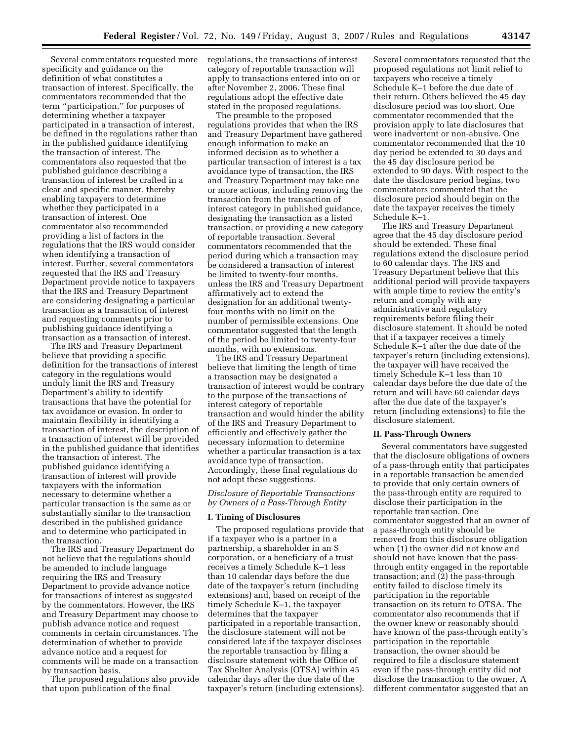Several commentators requested more specificity and guidance on the definition of what constitutes a transaction of interest. Specifically, the commentators recommended that the term ''participation,'' for purposes of determining whether a taxpayer participated in a transaction of interest, be defined in the regulations rather than in the published guidance identifying the transaction of interest. The commentators also requested that the published guidance describing a transaction of interest be crafted in a clear and specific manner, thereby enabling taxpayers to determine whether they participated in a transaction of interest. One commentator also recommended providing a list of factors in the regulations that the IRS would consider when identifying a transaction of interest. Further, several commentators requested that the IRS and Treasury Department provide notice to taxpayers that the IRS and Treasury Department are considering designating a particular transaction as a transaction of interest and requesting comments prior to publishing guidance identifying a transaction as a transaction of interest.

The IRS and Treasury Department believe that providing a specific definition for the transactions of interest category in the regulations would unduly limit the IRS and Treasury Department's ability to identify transactions that have the potential for tax avoidance or evasion. In order to maintain flexibility in identifying a transaction of interest, the description of a transaction of interest will be provided in the published guidance that identifies the transaction of interest. The published guidance identifying a transaction of interest will provide taxpayers with the information necessary to determine whether a particular transaction is the same as or substantially similar to the transaction described in the published guidance and to determine who participated in the transaction.

The IRS and Treasury Department do not believe that the regulations should be amended to include language requiring the IRS and Treasury Department to provide advance notice for transactions of interest as suggested by the commentators. However, the IRS and Treasury Department may choose to publish advance notice and request comments in certain circumstances. The determination of whether to provide advance notice and a request for comments will be made on a transaction by transaction basis.

The proposed regulations also provide that upon publication of the final

regulations, the transactions of interest category of reportable transaction will apply to transactions entered into on or after November 2, 2006. These final regulations adopt the effective date stated in the proposed regulations.

The preamble to the proposed regulations provides that when the IRS and Treasury Department have gathered enough information to make an informed decision as to whether a particular transaction of interest is a tax avoidance type of transaction, the IRS and Treasury Department may take one or more actions, including removing the transaction from the transaction of interest category in published guidance, designating the transaction as a listed transaction, or providing a new category of reportable transaction. Several commentators recommended that the period during which a transaction may be considered a transaction of interest be limited to twenty-four months, unless the IRS and Treasury Department affirmatively act to extend the designation for an additional twentyfour months with no limit on the number of permissible extensions. One commentator suggested that the length of the period be limited to twenty-four months, with no extensions.

The IRS and Treasury Department believe that limiting the length of time a transaction may be designated a transaction of interest would be contrary to the purpose of the transactions of interest category of reportable transaction and would hinder the ability of the IRS and Treasury Department to efficiently and effectively gather the necessary information to determine whether a particular transaction is a tax avoidance type of transaction. Accordingly, these final regulations do not adopt these suggestions.

*Disclosure of Reportable Transactions by Owners of a Pass-Through Entity* 

#### **I. Timing of Disclosures**

The proposed regulations provide that if a taxpayer who is a partner in a partnership, a shareholder in an S corporation, or a beneficiary of a trust receives a timely Schedule K–1 less than 10 calendar days before the due date of the taxpayer's return (including extensions) and, based on receipt of the timely Schedule K–1, the taxpayer determines that the taxpayer participated in a reportable transaction, the disclosure statement will not be considered late if the taxpayer discloses the reportable transaction by filing a disclosure statement with the Office of Tax Shelter Analysis (OTSA) within 45 calendar days after the due date of the taxpayer's return (including extensions).

Several commentators requested that the proposed regulations not limit relief to taxpayers who receive a timely Schedule K–1 before the due date of their return. Others believed the 45 day disclosure period was too short. One commentator recommended that the provision apply to late disclosures that were inadvertent or non-abusive. One commentator recommended that the 10 day period be extended to 30 days and the 45 day disclosure period be extended to 90 days. With respect to the date the disclosure period begins, two commentators commented that the disclosure period should begin on the date the taxpayer receives the timely Schedule K–1.

The IRS and Treasury Department agree that the 45 day disclosure period should be extended. These final regulations extend the disclosure period to 60 calendar days. The IRS and Treasury Department believe that this additional period will provide taxpayers with ample time to review the entity's return and comply with any administrative and regulatory requirements before filing their disclosure statement. It should be noted that if a taxpayer receives a timely Schedule K–1 after the due date of the taxpayer's return (including extensions), the taxpayer will have received the timely Schedule K–1 less than 10 calendar days before the due date of the return and will have 60 calendar days after the due date of the taxpayer's return (including extensions) to file the disclosure statement.

#### **II. Pass-Through Owners**

Several commentators have suggested that the disclosure obligations of owners of a pass-through entity that participates in a reportable transaction be amended to provide that only certain owners of the pass-through entity are required to disclose their participation in the reportable transaction. One commentator suggested that an owner of a pass-through entity should be removed from this disclosure obligation when (1) the owner did not know and should not have known that the passthrough entity engaged in the reportable transaction; and (2) the pass-through entity failed to disclose timely its participation in the reportable transaction on its return to OTSA. The commentator also recommends that if the owner knew or reasonably should have known of the pass-through entity's participation in the reportable transaction, the owner should be required to file a disclosure statement even if the pass-through entity did not disclose the transaction to the owner. A different commentator suggested that an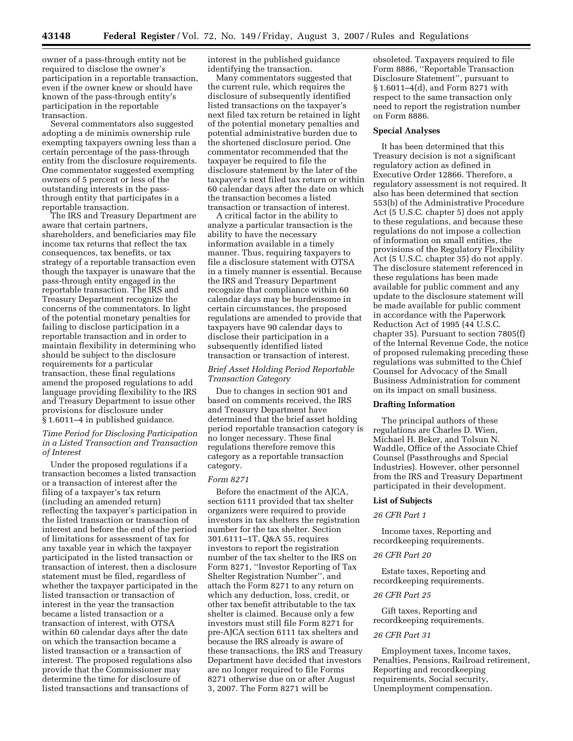owner of a pass-through entity not be required to disclose the owner's participation in a reportable transaction, even if the owner knew or should have known of the pass-through entity's participation in the reportable transaction.

Several commentators also suggested adopting a de minimis ownership rule exempting taxpayers owning less than a certain percentage of the pass-through entity from the disclosure requirements. One commentator suggested exempting owners of 5 percent or less of the outstanding interests in the passthrough entity that participates in a reportable transaction.

The IRS and Treasury Department are aware that certain partners, shareholders, and beneficiaries may file income tax returns that reflect the tax consequences, tax benefits, or tax strategy of a reportable transaction even though the taxpayer is unaware that the pass-through entity engaged in the reportable transaction. The IRS and Treasury Department recognize the concerns of the commentators. In light of the potential monetary penalties for failing to disclose participation in a reportable transaction and in order to maintain flexibility in determining who should be subject to the disclosure requirements for a particular transaction, these final regulations amend the proposed regulations to add language providing flexibility to the IRS and Treasury Department to issue other provisions for disclosure under § 1.6011–4 in published guidance.

## *Time Period for Disclosing Participation in a Listed Transaction and Transaction of Interest*

Under the proposed regulations if a transaction becomes a listed transaction or a transaction of interest after the filing of a taxpayer's tax return (including an amended return) reflecting the taxpayer's participation in the listed transaction or transaction of interest and before the end of the period of limitations for assessment of tax for any taxable year in which the taxpayer participated in the listed transaction or transaction of interest, then a disclosure statement must be filed, regardless of whether the taxpayer participated in the listed transaction or transaction of interest in the year the transaction became a listed transaction or a transaction of interest, with OTSA within 60 calendar days after the date on which the transaction became a listed transaction or a transaction of interest. The proposed regulations also provide that the Commissioner may determine the time for disclosure of listed transactions and transactions of

interest in the published guidance identifying the transaction.

Many commentators suggested that the current rule, which requires the disclosure of subsequently identified listed transactions on the taxpayer's next filed tax return be retained in light of the potential monetary penalties and potential administrative burden due to the shortened disclosure period. One commentator recommended that the taxpayer be required to file the disclosure statement by the later of the taxpayer's next filed tax return or within 60 calendar days after the date on which the transaction becomes a listed transaction or transaction of interest.

A critical factor in the ability to analyze a particular transaction is the ability to have the necessary information available in a timely manner. Thus, requiring taxpayers to file a disclosure statement with OTSA in a timely manner is essential. Because the IRS and Treasury Department recognize that compliance within 60 calendar days may be burdensome in certain circumstances, the proposed regulations are amended to provide that taxpayers have 90 calendar days to disclose their participation in a subsequently identified listed transaction or transaction of interest.

# *Brief Asset Holding Period Reportable Transaction Category*

Due to changes in section 901 and based on comments received, the IRS and Treasury Department have determined that the brief asset holding period reportable transaction category is no longer necessary. These final regulations therefore remove this category as a reportable transaction category.

#### *Form 8271*

Before the enactment of the AJCA, section 6111 provided that tax shelter organizers were required to provide investors in tax shelters the registration number for the tax shelter. Section 301.6111–1T, Q&A 55, requires investors to report the registration number of the tax shelter to the IRS on Form 8271, ''Investor Reporting of Tax Shelter Registration Number'', and attach the Form 8271 to any return on which any deduction, loss, credit, or other tax benefit attributable to the tax shelter is claimed. Because only a few investors must still file Form 8271 for pre-AJCA section 6111 tax shelters and because the IRS already is aware of these transactions, the IRS and Treasury Department have decided that investors are no longer required to file Forms 8271 otherwise due on or after August 3, 2007. The Form 8271 will be

obsoleted. Taxpayers required to file Form 8886, ''Reportable Transaction Disclosure Statement'', pursuant to § 1.6011–4(d), and Form 8271 with respect to the same transaction only need to report the registration number on Form 8886.

#### **Special Analyses**

It has been determined that this Treasury decision is not a significant regulatory action as defined in Executive Order 12866. Therefore, a regulatory assessment is not required. It also has been determined that section 553(b) of the Administrative Procedure Act (5 U.S.C. chapter 5) does not apply to these regulations, and because these regulations do not impose a collection of information on small entities, the provisions of the Regulatory Flexibility Act (5 U.S.C. chapter 35) do not apply. The disclosure statement referenced in these regulations has been made available for public comment and any update to the disclosure statement will be made available for public comment in accordance with the Paperwork Reduction Act of 1995 (44 U.S.C. chapter 35). Pursuant to section 7805(f) of the Internal Revenue Code, the notice of proposed rulemaking preceding these regulations was submitted to the Chief Counsel for Advocacy of the Small Business Administration for comment on its impact on small business.

## **Drafting Information**

The principal authors of these regulations are Charles D. Wien, Michael H. Beker, and Tolsun N. Waddle, Office of the Associate Chief Counsel (Passthroughs and Special Industries). However, other personnel from the IRS and Treasury Department participated in their development.

#### **List of Subjects**

#### *26 CFR Part 1*

Income taxes, Reporting and recordkeeping requirements.

## *26 CFR Part 20*

Estate taxes, Reporting and recordkeeping requirements.

## *26 CFR Part 25*

Gift taxes, Reporting and recordkeeping requirements.

## *26 CFR Part 31*

Employment taxes, Income taxes, Penalties, Pensions, Railroad retirement, Reporting and recordkeeping requirements, Social security, Unemployment compensation.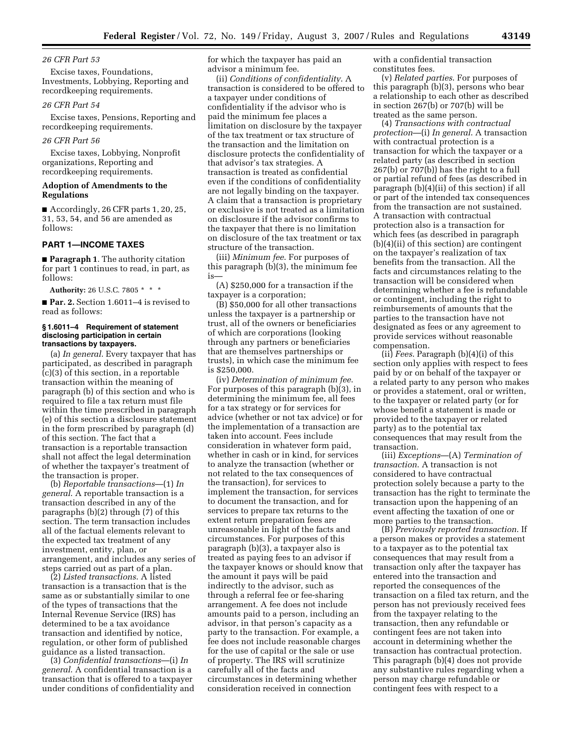#### *26 CFR Part 53*

Excise taxes, Foundations, Investments, Lobbying, Reporting and recordkeeping requirements.

#### *26 CFR Part 54*

Excise taxes, Pensions, Reporting and recordkeeping requirements.

## *26 CFR Part 56*

Excise taxes, Lobbying, Nonprofit organizations, Reporting and recordkeeping requirements.

### **Adoption of Amendments to the Regulations**

■ Accordingly, 26 CFR parts 1, 20, 25, 31, 53, 54, and 56 are amended as follows:

# **PART 1—INCOME TAXES**

■ **Paragraph 1**. The authority citation for part 1 continues to read, in part, as follows:

**Authority:** 26 U.S.C. 7805 \* \* \*

■ **Par. 2.** Section 1.6011–4 is revised to read as follows:

#### **§ 1.6011–4 Requirement of statement disclosing participation in certain transactions by taxpayers.**

(a) *In general*. Every taxpayer that has participated, as described in paragraph (c)(3) of this section, in a reportable transaction within the meaning of paragraph (b) of this section and who is required to file a tax return must file within the time prescribed in paragraph (e) of this section a disclosure statement in the form prescribed by paragraph (d) of this section. The fact that a transaction is a reportable transaction shall not affect the legal determination of whether the taxpayer's treatment of the transaction is proper.

(b) *Reportable transactions*—(1) *In general*. A reportable transaction is a transaction described in any of the paragraphs (b)(2) through (7) of this section. The term transaction includes all of the factual elements relevant to the expected tax treatment of any investment, entity, plan, or arrangement, and includes any series of steps carried out as part of a plan.

(2) *Listed transactions*. A listed transaction is a transaction that is the same as or substantially similar to one of the types of transactions that the Internal Revenue Service (IRS) has determined to be a tax avoidance transaction and identified by notice, regulation, or other form of published guidance as a listed transaction.

(3) *Confidential transactions*—(i) *In general*. A confidential transaction is a transaction that is offered to a taxpayer under conditions of confidentiality and for which the taxpayer has paid an advisor a minimum fee.

(ii) *Conditions of confidentiality*. A transaction is considered to be offered to a taxpayer under conditions of confidentiality if the advisor who is paid the minimum fee places a limitation on disclosure by the taxpayer of the tax treatment or tax structure of the transaction and the limitation on disclosure protects the confidentiality of that advisor's tax strategies. A transaction is treated as confidential even if the conditions of confidentiality are not legally binding on the taxpayer. A claim that a transaction is proprietary or exclusive is not treated as a limitation on disclosure if the advisor confirms to the taxpayer that there is no limitation on disclosure of the tax treatment or tax structure of the transaction.

(iii) *Minimum fee*. For purposes of this paragraph (b)(3), the minimum fee is—

(A) \$250,000 for a transaction if the taxpayer is a corporation;

(B) \$50,000 for all other transactions unless the taxpayer is a partnership or trust, all of the owners or beneficiaries of which are corporations (looking through any partners or beneficiaries that are themselves partnerships or trusts), in which case the minimum fee is \$250,000.

(iv) *Determination of minimum fee*. For purposes of this paragraph (b)(3), in determining the minimum fee, all fees for a tax strategy or for services for advice (whether or not tax advice) or for the implementation of a transaction are taken into account. Fees include consideration in whatever form paid, whether in cash or in kind, for services to analyze the transaction (whether or not related to the tax consequences of the transaction), for services to implement the transaction, for services to document the transaction, and for services to prepare tax returns to the extent return preparation fees are unreasonable in light of the facts and circumstances. For purposes of this paragraph (b)(3), a taxpayer also is treated as paying fees to an advisor if the taxpayer knows or should know that the amount it pays will be paid indirectly to the advisor, such as through a referral fee or fee-sharing arrangement. A fee does not include amounts paid to a person, including an advisor, in that person's capacity as a party to the transaction. For example, a fee does not include reasonable charges for the use of capital or the sale or use of property. The IRS will scrutinize carefully all of the facts and circumstances in determining whether consideration received in connection

with a confidential transaction constitutes fees.

(v) *Related parties*. For purposes of this paragraph (b)(3), persons who bear a relationship to each other as described in section 267(b) or 707(b) will be treated as the same person.

(4) *Transactions with contractual protection*—(i) *In general*. A transaction with contractual protection is a transaction for which the taxpayer or a related party (as described in section 267(b) or 707(b)) has the right to a full or partial refund of fees (as described in paragraph (b)(4)(ii) of this section) if all or part of the intended tax consequences from the transaction are not sustained. A transaction with contractual protection also is a transaction for which fees (as described in paragraph (b)(4)(ii) of this section) are contingent on the taxpayer's realization of tax benefits from the transaction. All the facts and circumstances relating to the transaction will be considered when determining whether a fee is refundable or contingent, including the right to reimbursements of amounts that the parties to the transaction have not designated as fees or any agreement to provide services without reasonable compensation.

(ii) *Fees*. Paragraph (b)(4)(i) of this section only applies with respect to fees paid by or on behalf of the taxpayer or a related party to any person who makes or provides a statement, oral or written, to the taxpayer or related party (or for whose benefit a statement is made or provided to the taxpayer or related party) as to the potential tax consequences that may result from the transaction.

(iii) *Exceptions*—(A) *Termination of transaction*. A transaction is not considered to have contractual protection solely because a party to the transaction has the right to terminate the transaction upon the happening of an event affecting the taxation of one or more parties to the transaction.

(B) *Previously reported transaction*. If a person makes or provides a statement to a taxpayer as to the potential tax consequences that may result from a transaction only after the taxpayer has entered into the transaction and reported the consequences of the transaction on a filed tax return, and the person has not previously received fees from the taxpayer relating to the transaction, then any refundable or contingent fees are not taken into account in determining whether the transaction has contractual protection. This paragraph (b)(4) does not provide any substantive rules regarding when a person may charge refundable or contingent fees with respect to a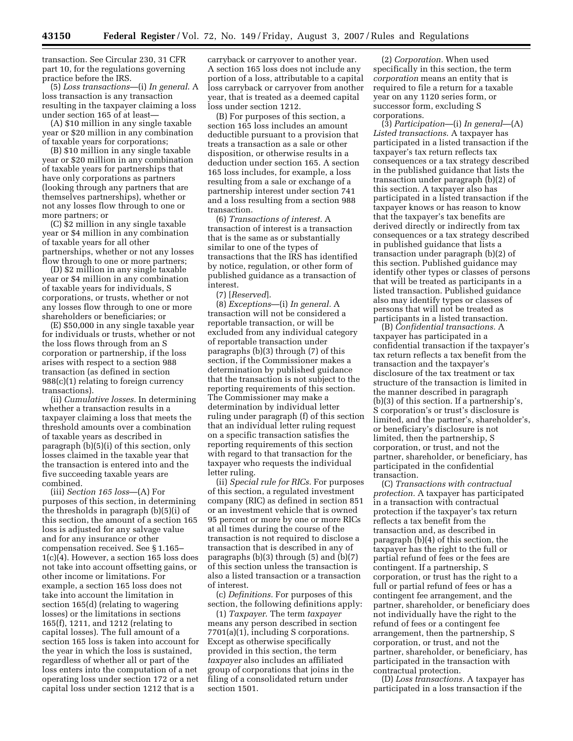transaction. See Circular 230, 31 CFR part 10, for the regulations governing practice before the IRS.

(5) *Loss transactions*—(i) *In general*. A loss transaction is any transaction resulting in the taxpayer claiming a loss under section 165 of at least—

(A) \$10 million in any single taxable year or \$20 million in any combination of taxable years for corporations;

(B) \$10 million in any single taxable year or \$20 million in any combination of taxable years for partnerships that have only corporations as partners (looking through any partners that are themselves partnerships), whether or not any losses flow through to one or more partners; or

(C) \$2 million in any single taxable year or \$4 million in any combination of taxable years for all other partnerships, whether or not any losses flow through to one or more partners;

(D) \$2 million in any single taxable year or \$4 million in any combination of taxable years for individuals, S corporations, or trusts, whether or not any losses flow through to one or more shareholders or beneficiaries; or

(E) \$50,000 in any single taxable year for individuals or trusts, whether or not the loss flows through from an S corporation or partnership, if the loss arises with respect to a section 988 transaction (as defined in section 988(c)(1) relating to foreign currency transactions).

(ii) *Cumulative losses.* In determining whether a transaction results in a taxpayer claiming a loss that meets the threshold amounts over a combination of taxable years as described in paragraph (b)(5)(i) of this section, only losses claimed in the taxable year that the transaction is entered into and the five succeeding taxable years are combined.

(iii) *Section 165 loss*—(A) For purposes of this section, in determining the thresholds in paragraph (b)(5)(i) of this section, the amount of a section 165 loss is adjusted for any salvage value and for any insurance or other compensation received. See § 1.165– 1(c)(4). However, a section 165 loss does not take into account offsetting gains, or other income or limitations. For example, a section 165 loss does not take into account the limitation in section 165(d) (relating to wagering losses) or the limitations in sections 165(f), 1211, and 1212 (relating to capital losses). The full amount of a section 165 loss is taken into account for the year in which the loss is sustained, regardless of whether all or part of the loss enters into the computation of a net operating loss under section 172 or a net capital loss under section 1212 that is a

carryback or carryover to another year. A section 165 loss does not include any portion of a loss, attributable to a capital loss carryback or carryover from another year, that is treated as a deemed capital loss under section 1212.

(B) For purposes of this section, a section 165 loss includes an amount deductible pursuant to a provision that treats a transaction as a sale or other disposition, or otherwise results in a deduction under section 165. A section 165 loss includes, for example, a loss resulting from a sale or exchange of a partnership interest under section 741 and a loss resulting from a section 988 transaction.

(6) *Transactions of interest.* A transaction of interest is a transaction that is the same as or substantially similar to one of the types of transactions that the IRS has identified by notice, regulation, or other form of published guidance as a transaction of interest.

(7) [*Reserved*].

(8) *Exceptions*—(i) *In general.* A transaction will not be considered a reportable transaction, or will be excluded from any individual category of reportable transaction under paragraphs (b)(3) through (7) of this section, if the Commissioner makes a determination by published guidance that the transaction is not subject to the reporting requirements of this section. The Commissioner may make a determination by individual letter ruling under paragraph (f) of this section that an individual letter ruling request on a specific transaction satisfies the reporting requirements of this section with regard to that transaction for the taxpayer who requests the individual letter ruling.

(ii) *Special rule for RICs.* For purposes of this section, a regulated investment company (RIC) as defined in section 851 or an investment vehicle that is owned 95 percent or more by one or more RICs at all times during the course of the transaction is not required to disclose a transaction that is described in any of paragraphs (b)(3) through (5) and (b)(7) of this section unless the transaction is also a listed transaction or a transaction of interest.

(c) *Definitions.* For purposes of this section, the following definitions apply:

(1) *Taxpayer*. The term *taxpayer*  means any person described in section 7701(a)(1), including S corporations. Except as otherwise specifically provided in this section, the term *taxpayer* also includes an affiliated group of corporations that joins in the filing of a consolidated return under section 1501.

(2) *Corporation.* When used specifically in this section, the term *corporation* means an entity that is required to file a return for a taxable year on any 1120 series form, or successor form, excluding S corporations.

(3) *Participation*—(i) *In general*—(A) *Listed transactions*. A taxpayer has participated in a listed transaction if the taxpayer's tax return reflects tax consequences or a tax strategy described in the published guidance that lists the transaction under paragraph (b)(2) of this section. A taxpayer also has participated in a listed transaction if the taxpayer knows or has reason to know that the taxpayer's tax benefits are derived directly or indirectly from tax consequences or a tax strategy described in published guidance that lists a transaction under paragraph (b)(2) of this section. Published guidance may identify other types or classes of persons that will be treated as participants in a listed transaction. Published guidance also may identify types or classes of persons that will not be treated as participants in a listed transaction.

(B) *Confidential transactions.* A taxpayer has participated in a confidential transaction if the taxpayer's tax return reflects a tax benefit from the transaction and the taxpayer's disclosure of the tax treatment or tax structure of the transaction is limited in the manner described in paragraph (b)(3) of this section. If a partnership's, S corporation's or trust's disclosure is limited, and the partner's, shareholder's, or beneficiary's disclosure is not limited, then the partnership, S corporation, or trust, and not the partner, shareholder, or beneficiary, has participated in the confidential transaction.

(C) *Transactions with contractual protection.* A taxpayer has participated in a transaction with contractual protection if the taxpayer's tax return reflects a tax benefit from the transaction and, as described in paragraph (b)(4) of this section, the taxpayer has the right to the full or partial refund of fees or the fees are contingent. If a partnership, S corporation, or trust has the right to a full or partial refund of fees or has a contingent fee arrangement, and the partner, shareholder, or beneficiary does not individually have the right to the refund of fees or a contingent fee arrangement, then the partnership, S corporation, or trust, and not the partner, shareholder, or beneficiary, has participated in the transaction with contractual protection.

(D) *Loss transactions.* A taxpayer has participated in a loss transaction if the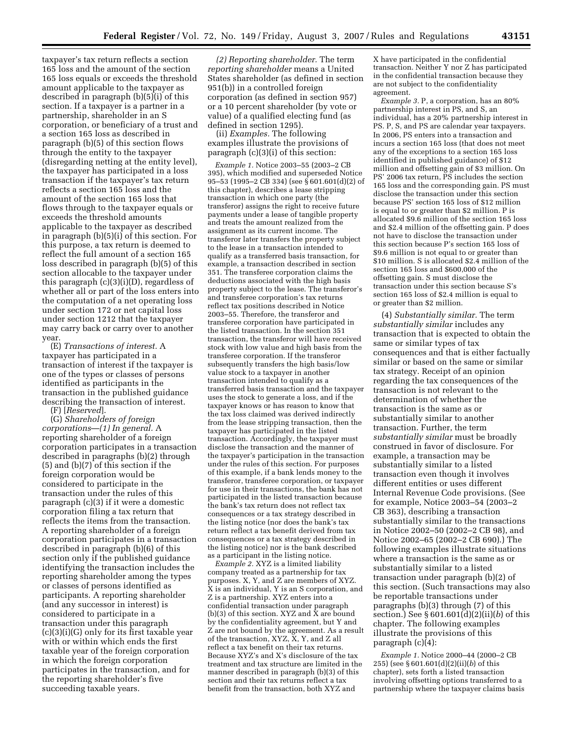taxpayer's tax return reflects a section 165 loss and the amount of the section 165 loss equals or exceeds the threshold amount applicable to the taxpayer as described in paragraph (b)(5)(i) of this section. If a taxpayer is a partner in a partnership, shareholder in an S corporation, or beneficiary of a trust and a section 165 loss as described in paragraph (b)(5) of this section flows through the entity to the taxpayer (disregarding netting at the entity level), the taxpayer has participated in a loss transaction if the taxpayer's tax return reflects a section 165 loss and the amount of the section 165 loss that flows through to the taxpayer equals or exceeds the threshold amounts applicable to the taxpayer as described in paragraph (b)(5)(i) of this section. For this purpose, a tax return is deemed to reflect the full amount of a section 165 loss described in paragraph (b)(5) of this section allocable to the taxpayer under this paragraph (c)(3)(i)(D), regardless of whether all or part of the loss enters into the computation of a net operating loss under section 172 or net capital loss under section 1212 that the taxpayer may carry back or carry over to another year.

(E) *Transactions of interest.* A taxpayer has participated in a transaction of interest if the taxpayer is one of the types or classes of persons identified as participants in the transaction in the published guidance describing the transaction of interest. (F) [*Reserved*].

(G) *Shareholders of foreign corporations*—*(1) In general.* A reporting shareholder of a foreign corporation participates in a transaction described in paragraphs (b)(2) through (5) and (b)(7) of this section if the foreign corporation would be considered to participate in the transaction under the rules of this paragraph (c)(3) if it were a domestic corporation filing a tax return that reflects the items from the transaction. A reporting shareholder of a foreign corporation participates in a transaction described in paragraph (b)(6) of this section only if the published guidance identifying the transaction includes the reporting shareholder among the types or classes of persons identified as participants. A reporting shareholder (and any successor in interest) is considered to participate in a transaction under this paragraph (c)(3)(i)(G) only for its first taxable year with or within which ends the first taxable year of the foreign corporation in which the foreign corporation participates in the transaction, and for the reporting shareholder's five succeeding taxable years.

*(2) Reporting shareholder.* The term *reporting shareholder* means a United States shareholder (as defined in section 951(b)) in a controlled foreign corporation (as defined in section 957) or a 10 percent shareholder (by vote or value) of a qualified electing fund (as defined in section 1295).

(ii) *Examples.* The following examples illustrate the provisions of paragraph (c)(3)(i) of this section:

*Example 1.* Notice 2003–55 (2003–2 CB 395), which modified and superseded Notice 95–53 (1995–2 CB 334) (see § 601.601(d)(2) of this chapter), describes a lease stripping transaction in which one party (the transferor) assigns the right to receive future payments under a lease of tangible property and treats the amount realized from the assignment as its current income. The transferor later transfers the property subject to the lease in a transaction intended to qualify as a transferred basis transaction, for example, a transaction described in section 351. The transferee corporation claims the deductions associated with the high basis property subject to the lease. The transferor's and transferee corporation's tax returns reflect tax positions described in Notice 2003–55. Therefore, the transferor and transferee corporation have participated in the listed transaction. In the section 351 transaction, the transferor will have received stock with low value and high basis from the transferee corporation. If the transferor subsequently transfers the high basis/low value stock to a taxpayer in another transaction intended to qualify as a transferred basis transaction and the taxpayer uses the stock to generate a loss, and if the taxpayer knows or has reason to know that the tax loss claimed was derived indirectly from the lease stripping transaction, then the taxpayer has participated in the listed transaction. Accordingly, the taxpayer must disclose the transaction and the manner of the taxpayer's participation in the transaction under the rules of this section. For purposes of this example, if a bank lends money to the transferor, transferee corporation, or taxpayer for use in their transactions, the bank has not participated in the listed transaction because the bank's tax return does not reflect tax consequences or a tax strategy described in the listing notice (nor does the bank's tax return reflect a tax benefit derived from tax consequences or a tax strategy described in the listing notice) nor is the bank described as a participant in the listing notice.

*Example 2.* XYZ is a limited liability company treated as a partnership for tax purposes. X, Y, and Z are members of XYZ. X is an individual, Y is an S corporation, and Z is a partnership. XYZ enters into a confidential transaction under paragraph (b)(3) of this section. XYZ and X are bound by the confidentiality agreement, but Y and Z are not bound by the agreement. As a result of the transaction, XYZ, X, Y, and Z all reflect a tax benefit on their tax returns. Because XYZ's and X's disclosure of the tax treatment and tax structure are limited in the manner described in paragraph (b)(3) of this section and their tax returns reflect a tax benefit from the transaction, both XYZ and

X have participated in the confidential transaction. Neither Y nor Z has participated in the confidential transaction because they are not subject to the confidentiality agreement.

*Example 3.* P, a corporation, has an 80% partnership interest in PS, and S, an individual, has a 20% partnership interest in PS. P, S, and PS are calendar year taxpayers. In 2006, PS enters into a transaction and incurs a section 165 loss (that does not meet any of the exceptions to a section 165 loss identified in published guidance) of \$12 million and offsetting gain of \$3 million. On PS' 2006 tax return, PS includes the section 165 loss and the corresponding gain. PS must disclose the transaction under this section because PS' section 165 loss of \$12 million is equal to or greater than \$2 million. P is allocated \$9.6 million of the section 165 loss and \$2.4 million of the offsetting gain. P does not have to disclose the transaction under this section because P's section 165 loss of \$9.6 million is not equal to or greater than \$10 million. S is allocated \$2.4 million of the section 165 loss and \$600,000 of the offsetting gain. S must disclose the transaction under this section because S's section 165 loss of \$2.4 million is equal to or greater than \$2 million.

(4) *Substantially similar.* The term *substantially similar* includes any transaction that is expected to obtain the same or similar types of tax consequences and that is either factually similar or based on the same or similar tax strategy. Receipt of an opinion regarding the tax consequences of the transaction is not relevant to the determination of whether the transaction is the same as or substantially similar to another transaction. Further, the term *substantially similar* must be broadly construed in favor of disclosure. For example, a transaction may be substantially similar to a listed transaction even though it involves different entities or uses different Internal Revenue Code provisions. (See for example, Notice 2003–54 (2003–2 CB 363), describing a transaction substantially similar to the transactions in Notice 2002–50 (2002–2 CB 98), and Notice 2002–65 (2002–2 CB 690).) The following examples illustrate situations where a transaction is the same as or substantially similar to a listed transaction under paragraph (b)(2) of this section. (Such transactions may also be reportable transactions under paragraphs (b)(3) through (7) of this section.) See § 601.601(d)(2)(ii)(*b*) of this chapter. The following examples illustrate the provisions of this paragraph (c)(4):

*Example 1.* Notice 2000–44 (2000–2 CB 255) (see § 601.601(d)(2)(ii)(*b*) of this chapter), sets forth a listed transaction involving offsetting options transferred to a partnership where the taxpayer claims basis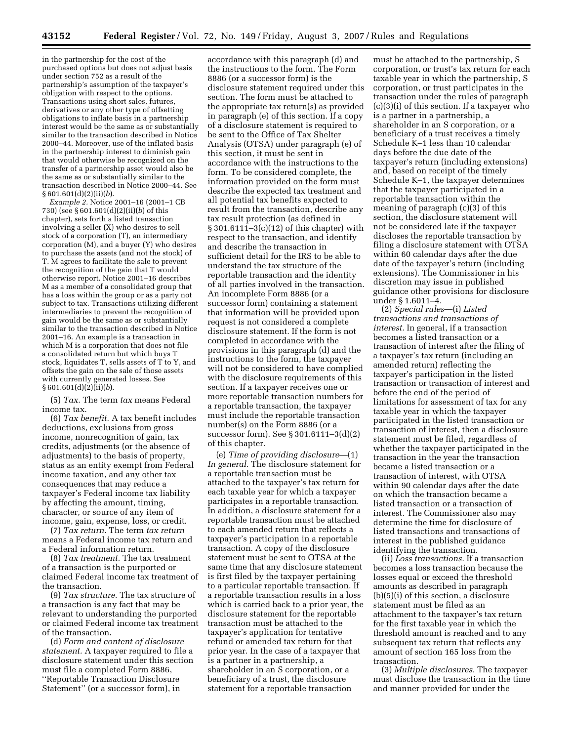in the partnership for the cost of the purchased options but does not adjust basis under section 752 as a result of the partnership's assumption of the taxpayer's obligation with respect to the options. Transactions using short sales, futures, derivatives or any other type of offsetting obligations to inflate basis in a partnership interest would be the same as or substantially similar to the transaction described in Notice 2000–44. Moreover, use of the inflated basis in the partnership interest to diminish gain that would otherwise be recognized on the transfer of a partnership asset would also be the same as or substantially similar to the transaction described in Notice 2000–44. See § 601.601(d)(2)(ii)(*b*).

*Example 2.* Notice 2001–16 (2001–1 CB 730) (see § 601.601(d)(2)(ii)(*b*) of this chapter), sets forth a listed transaction involving a seller (X) who desires to sell stock of a corporation (T), an intermediary corporation (M), and a buyer (Y) who desires to purchase the assets (and not the stock) of T. M agrees to facilitate the sale to prevent the recognition of the gain that T would otherwise report. Notice 2001–16 describes M as a member of a consolidated group that has a loss within the group or as a party not subject to tax. Transactions utilizing different intermediaries to prevent the recognition of gain would be the same as or substantially similar to the transaction described in Notice 2001–16. An example is a transaction in which M is a corporation that does not file a consolidated return but which buys T stock, liquidates T, sells assets of T to Y, and offsets the gain on the sale of those assets with currently generated losses. See § 601.601(d)(2)(ii)(*b*).

(5) *Tax.* The term *tax* means Federal income tax.

(6) *Tax benefit.* A tax benefit includes deductions, exclusions from gross income, nonrecognition of gain, tax credits, adjustments (or the absence of adjustments) to the basis of property, status as an entity exempt from Federal income taxation, and any other tax consequences that may reduce a taxpayer's Federal income tax liability by affecting the amount, timing, character, or source of any item of income, gain, expense, loss, or credit.

(7) *Tax return.* The term *tax return*  means a Federal income tax return and a Federal information return.

(8) *Tax treatment.* The tax treatment of a transaction is the purported or claimed Federal income tax treatment of the transaction.

(9) *Tax structure.* The tax structure of a transaction is any fact that may be relevant to understanding the purported or claimed Federal income tax treatment of the transaction.

(d) *Form and content of disclosure statement.* A taxpayer required to file a disclosure statement under this section must file a completed Form 8886, ''Reportable Transaction Disclosure Statement'' (or a successor form), in

accordance with this paragraph (d) and the instructions to the form. The Form 8886 (or a successor form) is the disclosure statement required under this section. The form must be attached to the appropriate tax return(s) as provided in paragraph (e) of this section. If a copy of a disclosure statement is required to be sent to the Office of Tax Shelter Analysis (OTSA) under paragraph (e) of this section, it must be sent in accordance with the instructions to the form. To be considered complete, the information provided on the form must describe the expected tax treatment and all potential tax benefits expected to result from the transaction, describe any tax result protection (as defined in § 301.6111–3(c)(12) of this chapter) with respect to the transaction, and identify and describe the transaction in sufficient detail for the IRS to be able to understand the tax structure of the reportable transaction and the identity of all parties involved in the transaction. An incomplete Form 8886 (or a successor form) containing a statement that information will be provided upon request is not considered a complete disclosure statement. If the form is not completed in accordance with the provisions in this paragraph (d) and the instructions to the form, the taxpayer will not be considered to have complied with the disclosure requirements of this section. If a taxpayer receives one or more reportable transaction numbers for a reportable transaction, the taxpayer must include the reportable transaction number(s) on the Form 8886 (or a successor form). See § 301.6111–3(d)(2) of this chapter.

(e) *Time of providing disclosure*—(1) *In general.* The disclosure statement for a reportable transaction must be attached to the taxpayer's tax return for each taxable year for which a taxpayer participates in a reportable transaction. In addition, a disclosure statement for a reportable transaction must be attached to each amended return that reflects a taxpayer's participation in a reportable transaction. A copy of the disclosure statement must be sent to OTSA at the same time that any disclosure statement is first filed by the taxpayer pertaining to a particular reportable transaction. If a reportable transaction results in a loss which is carried back to a prior year, the disclosure statement for the reportable transaction must be attached to the taxpayer's application for tentative refund or amended tax return for that prior year. In the case of a taxpayer that is a partner in a partnership, a shareholder in an S corporation, or a beneficiary of a trust, the disclosure statement for a reportable transaction

must be attached to the partnership, S corporation, or trust's tax return for each taxable year in which the partnership, S corporation, or trust participates in the transaction under the rules of paragraph (c)(3)(i) of this section. If a taxpayer who is a partner in a partnership, a shareholder in an S corporation, or a beneficiary of a trust receives a timely Schedule K–1 less than 10 calendar days before the due date of the taxpayer's return (including extensions) and, based on receipt of the timely Schedule K–1, the taxpayer determines that the taxpayer participated in a reportable transaction within the meaning of paragraph (c)(3) of this section, the disclosure statement will not be considered late if the taxpayer discloses the reportable transaction by filing a disclosure statement with OTSA within 60 calendar days after the due date of the taxpayer's return (including extensions). The Commissioner in his discretion may issue in published guidance other provisions for disclosure under § 1.6011–4.

(2) *Special rules*—(i) *Listed transactions and transactions of interest.* In general, if a transaction becomes a listed transaction or a transaction of interest after the filing of a taxpayer's tax return (including an amended return) reflecting the taxpayer's participation in the listed transaction or transaction of interest and before the end of the period of limitations for assessment of tax for any taxable year in which the taxpayer participated in the listed transaction or transaction of interest, then a disclosure statement must be filed, regardless of whether the taxpayer participated in the transaction in the year the transaction became a listed transaction or a transaction of interest, with OTSA within 90 calendar days after the date on which the transaction became a listed transaction or a transaction of interest. The Commissioner also may determine the time for disclosure of listed transactions and transactions of interest in the published guidance identifying the transaction.

(ii) *Loss transactions.* If a transaction becomes a loss transaction because the losses equal or exceed the threshold amounts as described in paragraph (b)(5)(i) of this section, a disclosure statement must be filed as an attachment to the taxpayer's tax return for the first taxable year in which the threshold amount is reached and to any subsequent tax return that reflects any amount of section 165 loss from the transaction.

(3) *Multiple disclosures.* The taxpayer must disclose the transaction in the time and manner provided for under the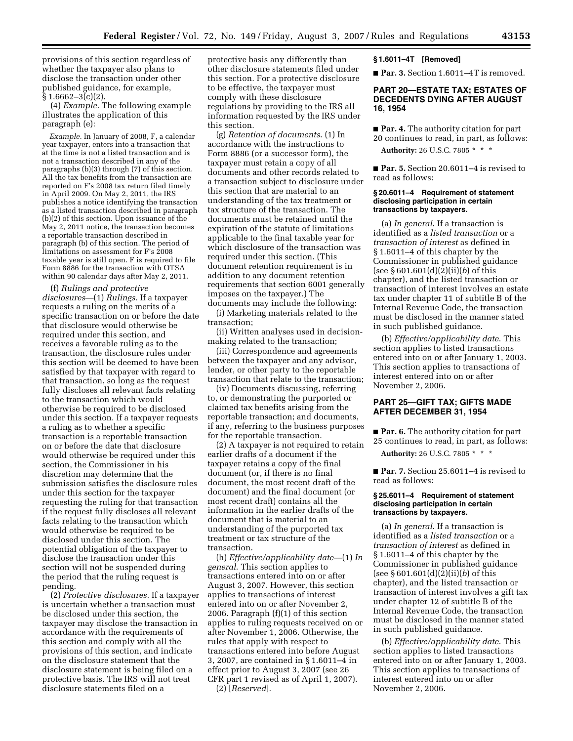provisions of this section regardless of whether the taxpayer also plans to disclose the transaction under other published guidance, for example,  $§ 1.6662 - 3(c)(2).$ 

(4) *Example.* The following example illustrates the application of this paragraph (e):

*Example.* In January of 2008, F, a calendar year taxpayer, enters into a transaction that at the time is not a listed transaction and is not a transaction described in any of the paragraphs (b)(3) through (7) of this section. All the tax benefits from the transaction are reported on F's 2008 tax return filed timely in April 2009. On May 2, 2011, the IRS publishes a notice identifying the transaction as a listed transaction described in paragraph (b)(2) of this section. Upon issuance of the May 2, 2011 notice, the transaction becomes a reportable transaction described in paragraph (b) of this section. The period of limitations on assessment for F's 2008 taxable year is still open. F is required to file Form 8886 for the transaction with OTSA within 90 calendar days after May 2, 2011.

(f) *Rulings and protective disclosures*—(1) *Rulings.* If a taxpayer requests a ruling on the merits of a specific transaction on or before the date that disclosure would otherwise be required under this section, and receives a favorable ruling as to the transaction, the disclosure rules under this section will be deemed to have been satisfied by that taxpayer with regard to that transaction, so long as the request fully discloses all relevant facts relating to the transaction which would otherwise be required to be disclosed under this section. If a taxpayer requests a ruling as to whether a specific transaction is a reportable transaction on or before the date that disclosure would otherwise be required under this section, the Commissioner in his discretion may determine that the submission satisfies the disclosure rules under this section for the taxpayer requesting the ruling for that transaction if the request fully discloses all relevant facts relating to the transaction which would otherwise be required to be disclosed under this section. The potential obligation of the taxpayer to disclose the transaction under this section will not be suspended during the period that the ruling request is pending.

(2) *Protective disclosures.* If a taxpayer is uncertain whether a transaction must be disclosed under this section, the taxpayer may disclose the transaction in accordance with the requirements of this section and comply with all the provisions of this section, and indicate on the disclosure statement that the disclosure statement is being filed on a protective basis. The IRS will not treat disclosure statements filed on a

protective basis any differently than other disclosure statements filed under this section. For a protective disclosure to be effective, the taxpayer must comply with these disclosure regulations by providing to the IRS all information requested by the IRS under this section.

(g) *Retention of documents*. (1) In accordance with the instructions to Form 8886 (or a successor form), the taxpayer must retain a copy of all documents and other records related to a transaction subject to disclosure under this section that are material to an understanding of the tax treatment or tax structure of the transaction. The documents must be retained until the expiration of the statute of limitations applicable to the final taxable year for which disclosure of the transaction was required under this section. (This document retention requirement is in addition to any document retention requirements that section 6001 generally imposes on the taxpayer.) The documents may include the following:

(i) Marketing materials related to the transaction;

(ii) Written analyses used in decisionmaking related to the transaction;

(iii) Correspondence and agreements between the taxpayer and any advisor, lender, or other party to the reportable transaction that relate to the transaction;

(iv) Documents discussing, referring to, or demonstrating the purported or claimed tax benefits arising from the reportable transaction; and documents, if any, referring to the business purposes for the reportable transaction.

(2) A taxpayer is not required to retain earlier drafts of a document if the taxpayer retains a copy of the final document (or, if there is no final document, the most recent draft of the document) and the final document (or most recent draft) contains all the information in the earlier drafts of the document that is material to an understanding of the purported tax treatment or tax structure of the transaction.

(h) *Effective/applicability date*—(1) *In general*. This section applies to transactions entered into on or after August 3, 2007. However, this section applies to transactions of interest entered into on or after November 2, 2006. Paragraph (f)(1) of this section applies to ruling requests received on or after November 1, 2006. Otherwise, the rules that apply with respect to transactions entered into before August 3, 2007, are contained in § 1.6011–4 in effect prior to August 3, 2007 (see 26 CFR part 1 revised as of April 1, 2007). (2) [*Reserved*].

# **§ 1.6011–4T [Removed]**

■ **Par. 3.** Section 1.6011–4T is removed.

# **PART 20—ESTATE TAX; ESTATES OF DECEDENTS DYING AFTER AUGUST 16, 1954**

■ **Par. 4.** The authority citation for part 20 continues to read, in part, as follows: **Authority:** 26 U.S.C. 7805 \* \* \*

■ **Par. 5.** Section 20.6011–4 is revised to read as follows:

#### **§ 20.6011–4 Requirement of statement disclosing participation in certain transactions by taxpayers.**

(a) *In general*. If a transaction is identified as a *listed transaction* or a *transaction of interest* as defined in § 1.6011–4 of this chapter by the Commissioner in published guidance (see § 601.601(d)(2)(ii)(*b*) of this chapter), and the listed transaction or transaction of interest involves an estate tax under chapter 11 of subtitle B of the Internal Revenue Code, the transaction must be disclosed in the manner stated in such published guidance.

(b) *Effective/applicability date*. This section applies to listed transactions entered into on or after January 1, 2003. This section applies to transactions of interest entered into on or after November 2, 2006.

# **PART 25—GIFT TAX; GIFTS MADE AFTER DECEMBER 31, 1954**

■ **Par. 6.** The authority citation for part 25 continues to read, in part, as follows: **Authority:** 26 U.S.C. 7805 \* \* \*

■ **Par. 7.** Section 25.6011–4 is revised to

# **§ 25.6011–4 Requirement of statement disclosing participation in certain transactions by taxpayers.**

read as follows:

(a) *In general*. If a transaction is identified as a *listed transaction* or a *transaction of interest* as defined in § 1.6011–4 of this chapter by the Commissioner in published guidance (see § 601.601(d)(2)(ii)(*b*) of this chapter), and the listed transaction or transaction of interest involves a gift tax under chapter 12 of subtitle B of the Internal Revenue Code, the transaction must be disclosed in the manner stated in such published guidance.

(b) *Effective/applicability date*. This section applies to listed transactions entered into on or after January 1, 2003. This section applies to transactions of interest entered into on or after November 2, 2006.